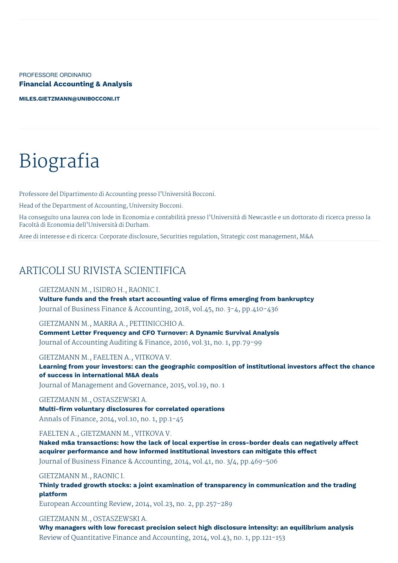PROFESSORE ORDINARIO **Financial Accounting & Analysis**

**[MILES.GIETZMANN@UNIBOCCONI.IT](mailto:miles.gietzmann@unibocconi.it)**

# Biografia

Professore del Dipartimento di Accounting presso l'Università Bocconi.

Head of the Department of Accounting, University Bocconi.

Ha conseguito una laurea con lode in Economia e contabilità presso l'Università di Newcastle e un dottorato di ricerca presso la Facoltà di Economia dell'Università di Durham.

Aree di interesse e di ricerca: Corporate disclosure, Securities regulation, Strategic cost management, M&A

## ARTICOLI SU RIVISTA SCIENTIFICA

#### GIETZMANN M., ISIDRO H., RAONIC I.

**Vulture funds and the fresh start accounting value of firms emerging from bankruptcy** Journal of Business Finance & Accounting, 2018, vol.45, no. 3-4, pp.410-436

GIETZMANN M., MARRA A., PETTINICCHIO A.

**Comment Letter Frequency and CFO Turnover: A Dynamic Survival Analysis** Journal of Accounting Auditing & Finance, 2016, vol.31, no. 1, pp.79-99

GIETZMANN M., FAELTEN A., VITKOVA V.

**Learning from your investors: can the geographic composition of institutional investors affect the chance of success in international M&A deals**

Journal of Management and Governance, 2015, vol.19, no. 1

GIETZMANN M., OSTASZEWSKI A. **Multi-firm voluntary disclosures for correlated operations** Annals of Finance, 2014, vol.10, no. 1, pp.1-45

FAELTEN A., GIETZMANN M., VITKOVA V.

**Naked m&a transactions: how the lack of local expertise in cross-border deals can negatively affect acquirer performance and how informed institutional investors can mitigate this effect** Journal of Business Finance & Accounting, 2014, vol.41, no. 3/4, pp.469-506

GIETZMANN M., RAONIC I.

**Thinly traded growth stocks: a joint examination of transparency in communication and the trading platform**

European Accounting Review, 2014, vol.23, no. 2, pp.257-289

#### GIETZMANN M., OSTASZEWSKI A.

**Why managers with low forecast precision select high disclosure intensity: an equilibrium analysis** Review of Quantitative Finance and Accounting, 2014, vol.43, no. 1, pp.121-153